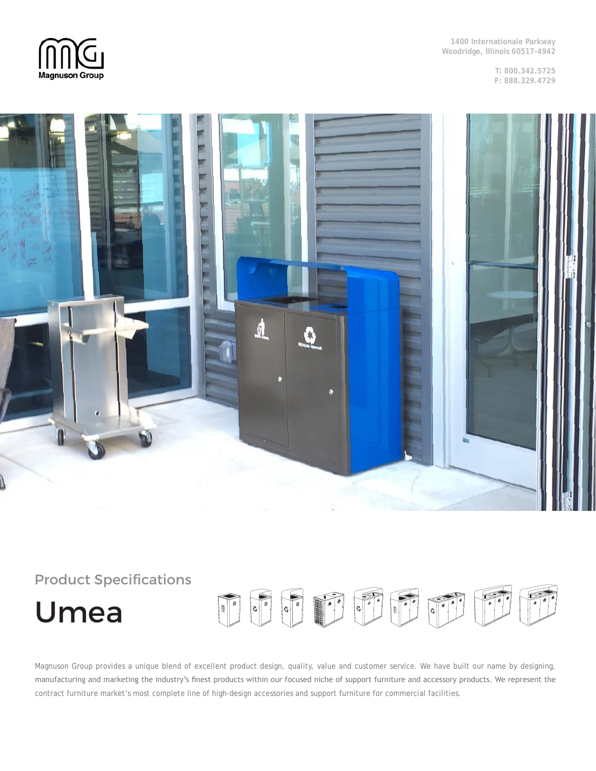

**1400 Internationale Parkway Woodridge, Illinois 60517-4942**

> **T: 800.342.5725 F: 888.329.4729**



# Product Specifications TO TO TO TO TO TO Umea

Magnuson Group provides a unique blend of excellent product design, quality, value and customer service. We have built our name by designing, manufacturing and marketing the industry's finest products within our focused niche of support furniture and accessory products. We represent the contract furniture market's most complete line of high-design accessories and support furniture for commercial facilities.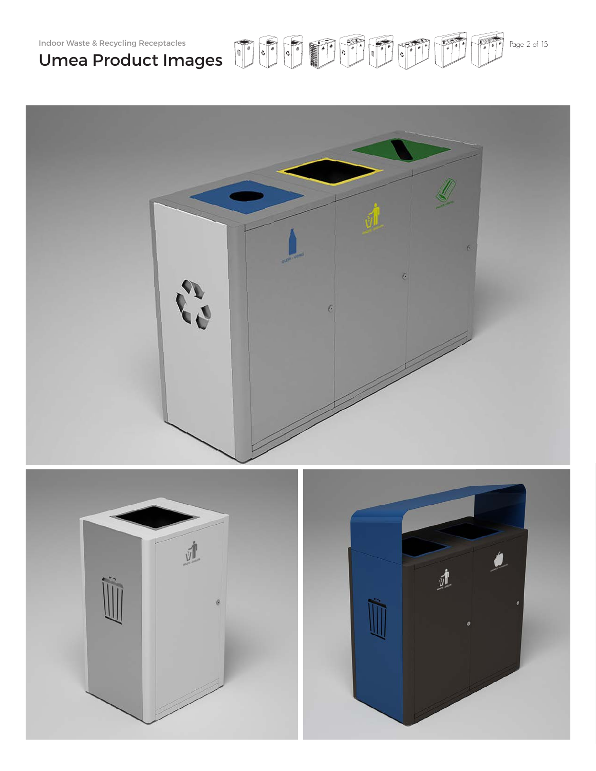



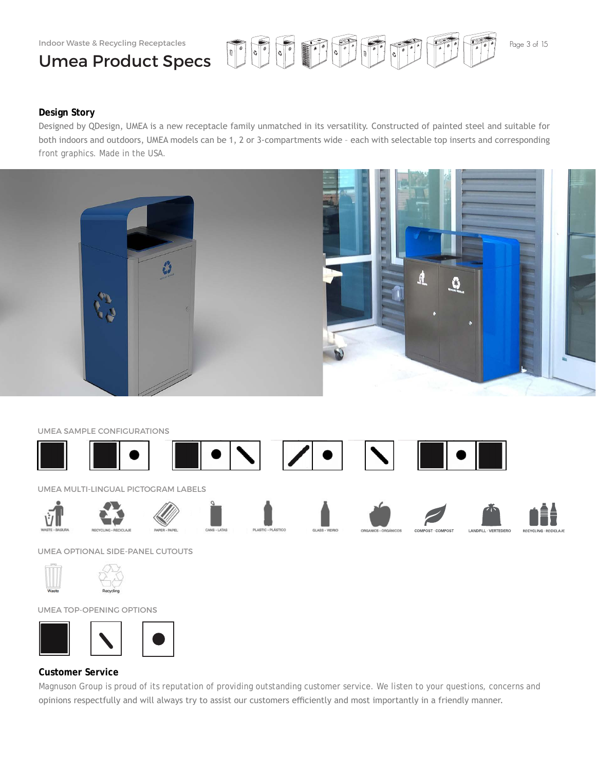# Umea Product Specs



LANDFILL · VERTEDERO

**RECVOLING** 

### **Design Story**

Designed by QDesign, UMEA is a new receptacle family unmatched in its versatility. Constructed of painted steel and suitable for both indoors and outdoors, UMEA models can be 1, 2 or 3-compartments wide – each with selectable top inserts and corresponding front graphics. Made in the USA.



### UMEA SAMPLE CONFIGURATIONS



UMEA OPTIONAL SIDE-PANEL CUTOUTS





UMEA TOP-OPENING OPTIONS





### **Customer Service**

Magnuson Group is proud of its reputation of providing outstanding customer service. We listen to your questions, concerns and opinions respectfully and will always try to assist our customers efficiently and most importantly in a friendly manner.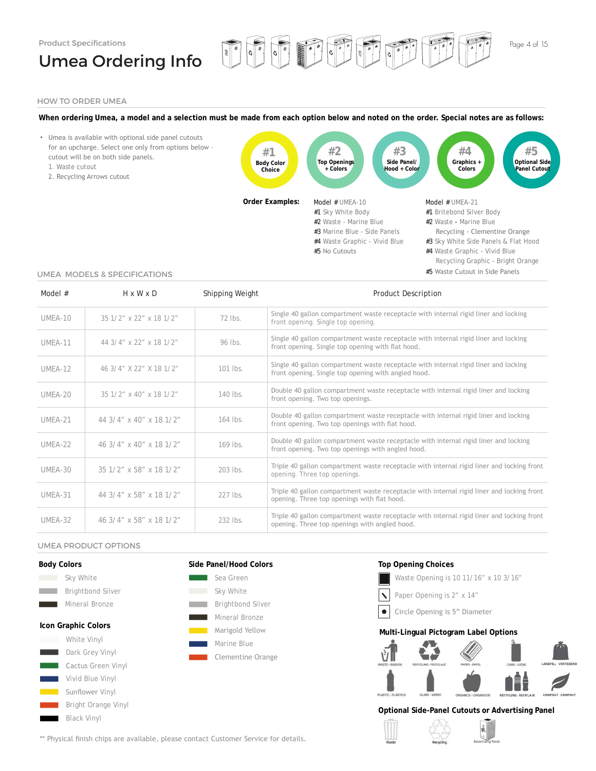# Umea Ordering Info



### HOW TO ORDER UMEA

**When ordering Umea, a model and a selection must be made from each option below and noted on the order. Special notes are as follows:**

THE PER



#### UMEA MODELS & SPECIFICATIONS

| Model #   | $H \times W \times D$   | Shipping Weight | <b>Product Description</b>                                                                                                                 |
|-----------|-------------------------|-----------------|--------------------------------------------------------------------------------------------------------------------------------------------|
| $UMEA-10$ | 35 1/2" x 22" x 18 1/2" | 72 lbs.         | Single 40 gallon compartment waste receptacle with internal rigid liner and locking<br>front opening. Single top opening.                  |
| UMEA-11   | 44 3/4" x 22" x 18 1/2" | 96 lbs.         | Single 40 gallon compartment waste receptacle with internal rigid liner and locking<br>front opening. Single top opening with flat hood.   |
| UMEA-12   | 46 3/4" X 22" X 18 1/2" | $101$ lbs.      | Single 40 gallon compartment waste receptacle with internal rigid liner and locking<br>front opening. Single top opening with angled hood. |
| UMEA-20   | 35 1/2" x 40" x 18 1/2" | $140$ lbs.      | Double 40 gallon compartment waste receptacle with internal rigid liner and locking<br>front opening. Two top openings.                    |
| UMEA-21   | 44 3/4" x 40" x 18 1/2" | $164$ lbs.      | Double 40 gallon compartment waste receptacle with internal rigid liner and locking<br>front opening. Two top openings with flat hood.     |
| UMEA-22   | 46 3/4" x 40" x 18 1/2" | 169 lbs.        | Double 40 gallon compartment waste receptacle with internal rigid liner and locking<br>front opening. Two top openings with angled hood.   |
| $UMEA-30$ | 35 1/2" x 58" x 18 1/2" | $203$ lbs.      | Triple 40 gallon compartment waste receptacle with internal rigid liner and locking front<br>opening. Three top openings.                  |
| UMEA-31   | 44 3/4" x 58" x 18 1/2" | 227 lbs.        | Triple 40 gallon compartment waste receptacle with internal rigid liner and locking front<br>opening. Three top openings with flat hood.   |
| UMEA-32   | 46 3/4" x 58" x 18 1/2" | 232 lbs.        | Triple 40 gallon compartment waste receptacle with internal rigid liner and locking front<br>opening. Three top openings with angled hood. |

#### UMEA PRODUCT OPTIONS

**Black Vinyl** 

| <b>Body Colors</b>           | Side Panel/Hood Colors   | <b>Top Opening Choices</b>                                                                                        |
|------------------------------|--------------------------|-------------------------------------------------------------------------------------------------------------------|
| Sky White<br><b>Contract</b> | Sea Green                | Waste Opening is 10 11/16" x 10 3/16"                                                                             |
| <b>Brightbond Silver</b>     | Sky White                | Paper Opening is 2" x 14"                                                                                         |
| Mineral Bronze               | <b>Brightbond Silver</b> |                                                                                                                   |
|                              | Mineral Bronze           | Circle Opening is 5" Diameter                                                                                     |
| Icon Graphic Colors          | Marigold Yellow          | Multi-Lingual Pictogram Label Options                                                                             |
| White Vinyl                  | Marine Blue              |                                                                                                                   |
| Dark Grey Vinyl              | Clementine Orange        |                                                                                                                   |
| Cactus Green Vinyl           |                          | LANDFILL · VERTEDERO<br>WASTE - BASURA<br><b>CANS - LATAS</b><br>RECYCLING - RECICLAJE<br>PAPER - PAPEL           |
| Vivid Blue Vinyl             |                          | NÊ                                                                                                                |
| Sunflower Vinyl              |                          | PLASTIC - PLÁSTICO<br><b>GLASS - VIDRIO</b><br>ORGANICS - ORGÁNICOS<br>COMPOST - COMPOST<br>RECYCLING - RECICLAJE |
| Bright Orange Vinyl          |                          | Optional Side-Panel Cutouts or Advertising Panel                                                                  |

\*\* Physical finish chips are available, please contact Customer Service for details.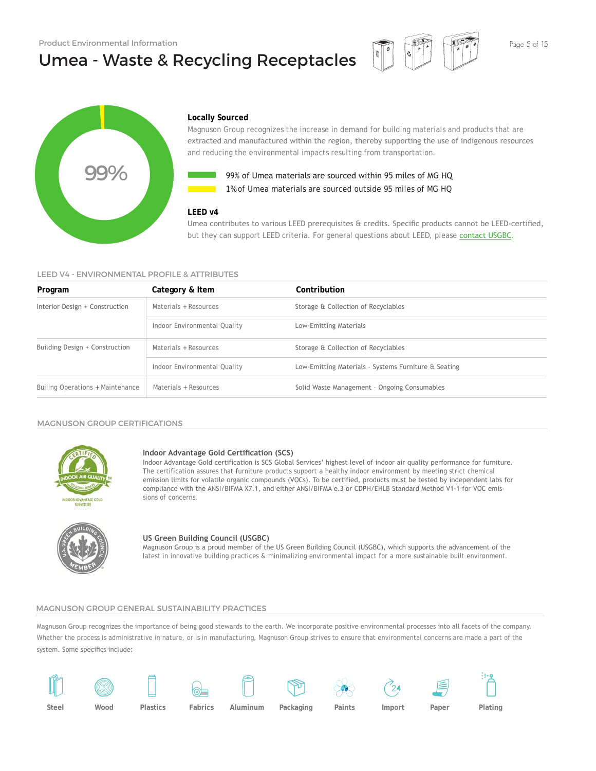# Umea - Waste & Recycling Receptacles





### **Locally Sourced**

Magnuson Group recognizes the increase in demand for building materials and products that are extracted and manufactured within the region, thereby supporting the use of indigenous resources and reducing the environmental impacts resulting from transportation.



**1%** of Umea materials are sourced outside 95 miles of MG HQ 99% of Umea materials are sourced within 95 miles of MG HQ

### **LEED v4**

### LEED V4 - ENVIRONMENTAL PROFILE & ATTRIBUTES

|                                              | 99% of Umea materials are sourced within 95 miles of MG HQ<br>1% of Umea materials are sourced outside 95 miles of MG HO |                                                                                                                                                                                                                                                                                                                                                                                                                                                                                              |  |  |  |  |  |
|----------------------------------------------|--------------------------------------------------------------------------------------------------------------------------|----------------------------------------------------------------------------------------------------------------------------------------------------------------------------------------------------------------------------------------------------------------------------------------------------------------------------------------------------------------------------------------------------------------------------------------------------------------------------------------------|--|--|--|--|--|
| LEED V4 - ENVIRONMENTAL PROFILE & ATTRIBUTES | LEED v4                                                                                                                  | Umea contributes to various LEED prerequisites & credits. Specific products cannot be LEED-certified,<br>but they can support LEED criteria. For general questions about LEED, please contact USGBC.                                                                                                                                                                                                                                                                                         |  |  |  |  |  |
| Program                                      | Category & Item                                                                                                          | Contribution                                                                                                                                                                                                                                                                                                                                                                                                                                                                                 |  |  |  |  |  |
| Interior Design + Construction               | Materials + Resources                                                                                                    | Storage & Collection of Recyclables                                                                                                                                                                                                                                                                                                                                                                                                                                                          |  |  |  |  |  |
|                                              | Indoor Environmental Quality                                                                                             | Low-Emitting Materials                                                                                                                                                                                                                                                                                                                                                                                                                                                                       |  |  |  |  |  |
| Building Design + Construction               | Materials + Resources                                                                                                    | Storage & Collection of Recyclables                                                                                                                                                                                                                                                                                                                                                                                                                                                          |  |  |  |  |  |
|                                              | Indoor Environmental Quality                                                                                             | Low-Emitting Materials - Systems Furniture & Seating                                                                                                                                                                                                                                                                                                                                                                                                                                         |  |  |  |  |  |
| Builing Operations + Maintenance             | Materials + Resources                                                                                                    | Solid Waste Management - Ongoing Consumables                                                                                                                                                                                                                                                                                                                                                                                                                                                 |  |  |  |  |  |
| <b>MAGNUSON GROUP CERTIFICATIONS</b>         | Indoor Advantage Gold Certification (SCS)                                                                                | Indoor Advantage Gold certification is SCS Global Services' highest level of indoor air quality performance for furniture.<br>The certification assures that furniture products support a healthy indoor environment by meeting strict chemical<br>emission limits for volatile organic compounds (VOCs). To be certified, products must be tested by independent labs for<br>compliance with the ANSI/BIFMA X7.1, and either ANSI/BIFMA e.3 or CDPH/EHLB Standard Method V1-1 for VOC emis- |  |  |  |  |  |
| FLIRNITIIRE                                  | sions of concerns.<br><b>US Green Building Council (USGBC)</b>                                                           | Magnuson Group is a proud member of the US Green Building Council (USGBC), which supports the advancement of the<br>latest in innovative building practices & minimalizing environmental impact for a more sustainable built environment.                                                                                                                                                                                                                                                    |  |  |  |  |  |

#### MAGNUSON GROUP CERTIFICATIONS



#### **Indoor Advantage Gold Certification (SCS)**



### **US Green Building Council (USGBC)**

### MAGNUSON GROUP GENERAL SUSTAINABILITY PRACTICES

Magnuson Group recognizes the importance of being good stewards to the earth. We incorporate positive environmental processes into all facets of the company. Whether the process is administrative in nature, or is in manufacturing, Magnuson Group strives to ensure that environmental concerns are made a part of the system. Some specifics include:

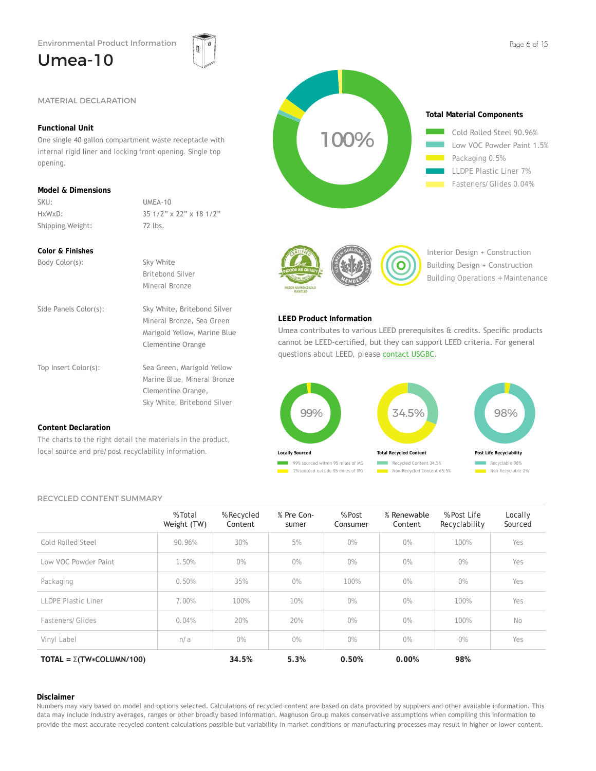### Umea-10



### **Functional Unit**

One single 40 gallon compartment waste receptacle with internal rigid liner and locking front opening. Single top opening.

### **Model & Dimensions**

SKU: UMEA-10 Shipping Weight: 72 lbs.

HxWxD: 35 1/2" x 22" x 18 1/2"

### **Color & Finishes**

| Body Color(s):        | Sky White                                                                                                            |
|-----------------------|----------------------------------------------------------------------------------------------------------------------|
|                       | Britebond Silver                                                                                                     |
|                       | Mineral Bronze                                                                                                       |
| Side Panels Color(s): | Sky White, Britebond Silver<br>Mineral Bronze, Sea Green<br>Marigold Yellow, Marine Blue<br><b>Clementine Orange</b> |
| Top Insert Color(s):  | Sea Green, Marigold Yellow<br>Marine Blue, Mineral Bronze<br>Clementine Orange,<br>Sky White, Britebond Silver       |

### **Content Declaration**

The charts to the right detail the materials in the product, local source and pre/post recyclability information.

### RECYCLED CONTENT SUMMARY

|                                       | % Total<br>Weight (TW) | % Recycled<br>Content | % Pre Con-<br>sumer | % Post<br>Consumer | % Renewable<br>Content | % Post Life<br>Recyclability | Locally<br>Sourced |
|---------------------------------------|------------------------|-----------------------|---------------------|--------------------|------------------------|------------------------------|--------------------|
| Cold Rolled Steel                     | 90.96%                 | 30%                   | 5%                  | $0\%$              | 0%                     | 100%                         | Yes                |
| Low VOC Powder Paint                  | 1.50%                  | $0\%$                 | $0\%$               | $0\%$              | $0\%$                  | $0\%$                        | Yes                |
| Packaging                             | 0.50%                  | 35%                   | $0\%$               | 100%               | $0\%$                  | $0\%$                        | Yes                |
| <b>LLDPE Plastic Liner</b>            | 7.00%                  | 100%                  | 10%                 | O%                 | O%                     | 100%                         | Yes                |
| Fasteners/Glides                      | 0.04%                  | 20%                   | 20%                 | $0\%$              | O%                     | 100%                         | No                 |
| Vinyl Label                           | n/a                    | $0\%$                 | O%                  | O%                 | $0\%$                  | O%                           | Yes                |
| TOTAL = $\Sigma(TW \star COLUMN/100)$ |                        | 34.5%                 | 5.3%                | 0.50%              | 0.00%                  | 98%                          |                    |

### **Disclaimer**

Numbers may vary based on model and options selected. Calculations of recycled content are based on data provided by suppliers and other available information. This data may include industry averages, ranges or other broadly based information. Magnuson Group makes conservative assumptions when compiling this information to provide the most accurate recycled content calculations possible but variability in market conditions or manufacturing processes may result in higher or lower content.





Interior Design + Construction Building Design + Construction Building Operations + Maintenance

### **LEED Product Information**

Umea contributes to various LEED prerequisites & credits. Specific products cannot be LEED-certified, but they can support LEED criteria. For general questions about LEED, please contact USGBC.

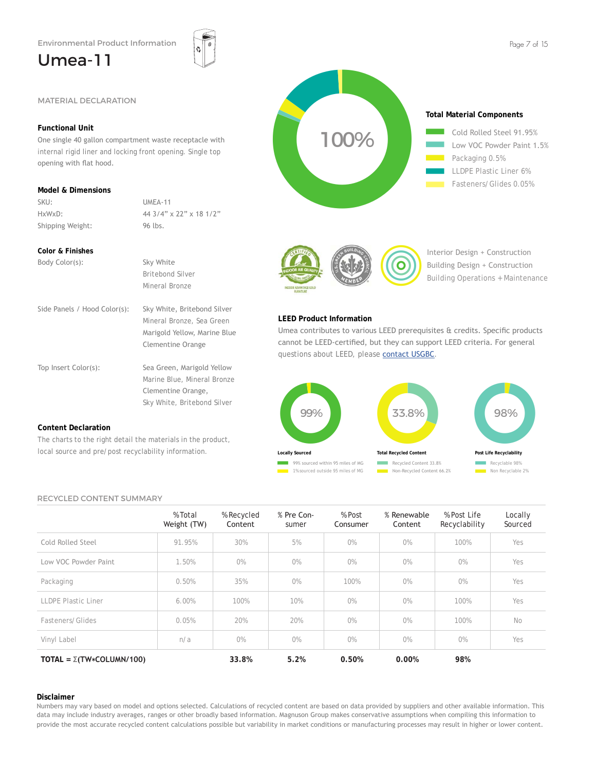One single 40 gallon compartment waste receptacle with internal rigid liner and locking front opening. Single top

HxWxD: 44 3/4" x 22" x 18 1/2"

### Umea-11

**Functional Unit**

opening with flat hood.

**Model & Dimensions**

**Color & Finishes**

SKU: UMEA-11

Shipping Weight: 96 lbs.





Umea contributes to various LEED prerequisites & credits. Specific products cannot be LEED-certified, but they can support LEED criteria. For general

Freduct Information<br>
Product Information<br>
Product Information<br>
Contributes to various LEED prerequisites & credits. Specific provides about LEED criteria. For ger<br>
ons about LEED, please <u>contact USGBC</u>.<br>
33.8% 98% 98%

33.8%<br>Total Recycled Content

98%<br>Post Life Recyclability

Interior Design + Construction Building Design + Construction Building Operations + Maintenance

> Recyclable 98% Non Recyclable 2% **Post Life Recyclability**

Recycled Content 33.8% Non-Recycled Content 66.2%

**Total Recycled Content**

| Body Color(s):               | Sky White                                                                                                            |
|------------------------------|----------------------------------------------------------------------------------------------------------------------|
|                              | <b>Britebond Silver</b>                                                                                              |
|                              | Mineral Bronze                                                                                                       |
| Side Panels / Hood Color(s): | Sky White, Britebond Silver<br>Mineral Bronze, Sea Green<br>Marigold Yellow, Marine Blue<br><b>Clementine Orange</b> |
| Top Insert Color(s):         | Sea Green, Marigold Yellow<br>Marine Blue, Mineral Bronze<br>Clementine Orange,<br>Sky White, Britebond Silver       |

### **Content Declaration**

The charts to the right detail the materials in the product, local source and pre/post recyclability information.

### RECYCLED CONTENT SUMMARY

|                                       | % Total<br>Weight (TW) | % Recycled<br>Content | % Pre Con-<br>sumer | % Post<br>Consumer | % Renewable<br>Content | % Post Life<br>Recyclability | Locally<br>Sourced |
|---------------------------------------|------------------------|-----------------------|---------------------|--------------------|------------------------|------------------------------|--------------------|
| Cold Rolled Steel                     | 91.95%                 | 30%                   | 5%                  | $0\%$              | $0\%$                  | 100%                         | Yes                |
| Low VOC Powder Paint                  | 1.50%                  | $0\%$                 | $0\%$               | $0\%$              | $0\%$                  | $0\%$                        | Yes                |
| Packaging                             | 0.50%                  | 35%                   | $0\%$               | 100%               | $0\%$                  | $0\%$                        | Yes                |
| <b>LLDPE Plastic Liner</b>            | 6.00%                  | 100%                  | 10%                 | $0\%$              | O%                     | 100%                         | Yes                |
| Fasteners/Glides                      | 0.05%                  | 20%                   | 20%                 | O%                 | O%                     | 100%                         | No                 |
| Vinyl Label                           | n/a                    | $0\%$                 | $0\%$               | $0\%$              | O%                     | O%                           | Yes                |
| TOTAL = $\Sigma(TW \star COLUMN/100)$ |                        | 33.8%                 | 5.2%                | 0.50%              | 0.00%                  | 98%                          |                    |

**LEED Product Information**

99%<br>10cally sourced

**Locally Sourced**

**25 + 259% sourced within 95 miles of MG**<br>25 + 1% sourced outside 95 miles of MG

questions about LEED, please contact USGBC.

### **Disclaimer**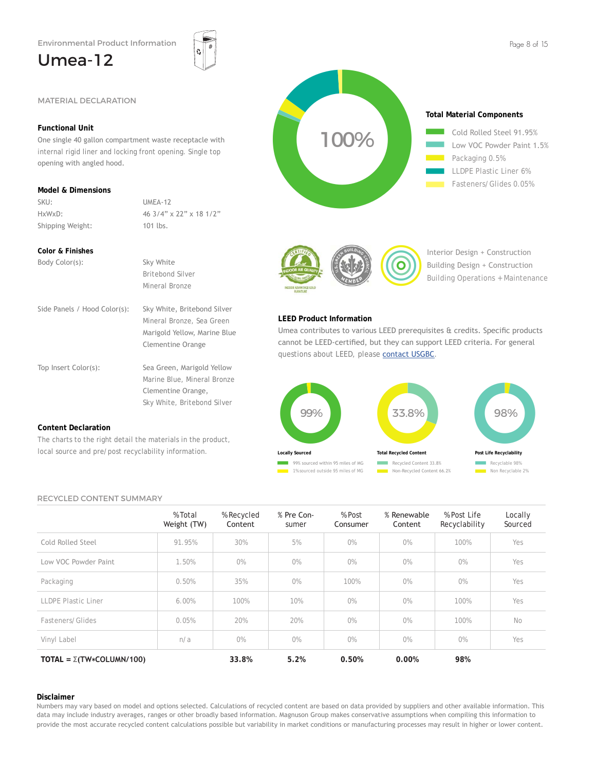### Umea-12



### **Functional Unit**

**SEARATION**<br>
MATERIAL DECLARATION<br>
Functional Unit<br>
One single 40 gallon compartment waste receptacle with<br>
internal rigid liner and locking front opening. Single top<br>
opening with angled hood.<br>
Model & Dimensions<br>
SKU:<br> One single 40 gallon compartment waste receptacle with internal rigid liner and locking front opening. Single top opening with angled hood.

### **Model & Dimensions**

SKU: UMEA-12 Shipping Weight: 101 lbs.

HxWxD: 46 3/4" x 22" x 18 1/2"

### **Color & Finishes**

| Body Color(s):               | Sky White                                                                                                            |
|------------------------------|----------------------------------------------------------------------------------------------------------------------|
|                              | Britebond Silver                                                                                                     |
|                              | Mineral Bronze                                                                                                       |
| Side Panels / Hood Color(s): | Sky White, Britebond Silver<br>Mineral Bronze, Sea Green<br>Marigold Yellow, Marine Blue<br><b>Clementine Orange</b> |
| Top Insert Color(s):         | Sea Green, Marigold Yellow<br>Marine Blue, Mineral Bronze<br>Clementine Orange,<br>Sky White, Britebond Silver       |

### **Content Declaration**

The charts to the right detail the materials in the product, local source and pre/post recyclability information.

### RECYCLED CONTENT SUMMARY

|                                       | % Total<br>Weight (TW) | % Recycled<br>Content | % Pre Con-<br>sumer | % Post<br>Consumer | % Renewable<br>Content | % Post Life<br>Recyclability | Locally<br>Sourced |
|---------------------------------------|------------------------|-----------------------|---------------------|--------------------|------------------------|------------------------------|--------------------|
| Cold Rolled Steel                     | 91.95%                 | 30%                   | 5%                  | $0\%$              | $0\%$                  | 100%                         | Yes                |
| Low VOC Powder Paint                  | 1.50%                  | $0\%$                 | $0\%$               | $0\%$              | $0\%$                  | $0\%$                        | Yes                |
| Packaging                             | 0.50%                  | 35%                   | $0\%$               | 100%               | $0\%$                  | $0\%$                        | Yes                |
| <b>LLDPE Plastic Liner</b>            | 6.00%                  | 100%                  | 10%                 | O%                 | O%                     | 100%                         | Yes                |
| Fasteners/Glides                      | 0.05%                  | 20%                   | 20%                 | $0\%$              | O%                     | 100%                         | No                 |
| Vinyl Label                           | n/a                    | $0\%$                 | $0\%$               | O%                 | O%                     | $0\%$                        | Yes                |
| TOTAL = $\Sigma(TW \star COLUMN/100)$ |                        | 33.8%                 | 5.2%                | 0.50%              | 0.00%                  | 98%                          |                    |

### **Disclaimer**

Numbers may vary based on model and options selected. Calculations of recycled content are based on data provided by suppliers and other available information. This data may include industry averages, ranges or other broadly based information. Magnuson Group makes conservative assumptions when compiling this information to provide the most accurate recycled content calculations possible but variability in market conditions or manufacturing processes may result in higher or lower content.



2525 Low VOC Powder Paint 1.5% Packaging 0.5% LLDPE Plastic Liner 6% Fasteners/Glides 0.05%



100%

Interior Design + Construction Building Design + Construction Building Operations + Maintenance

### **LEED Product Information**

Umea contributes to various LEED prerequisites & credits. Specific products cannot be LEED-certified, but they can support LEED criteria. For general questions about LEED, please contact USGBC.

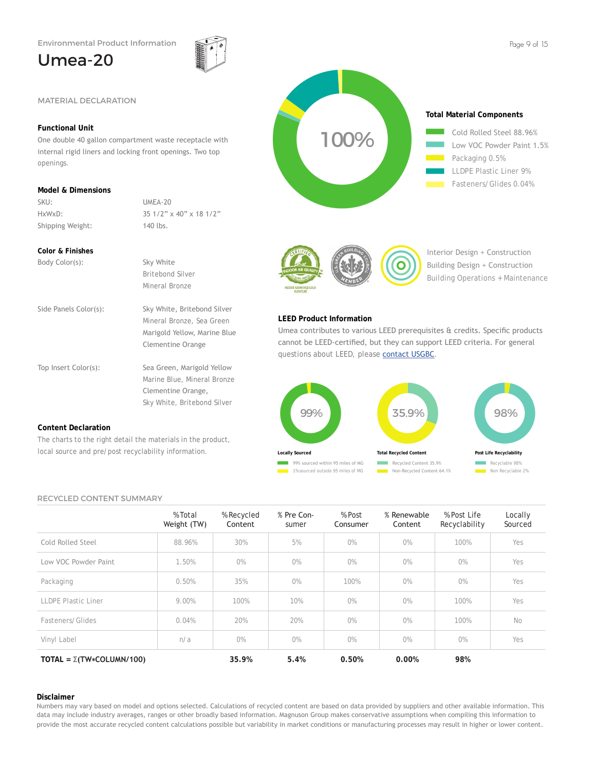One double 40 gallon compartment waste receptacle with internal rigid liners and locking front openings. Two top

HxWxD: 35 1/2" x 40" x 18 1/2"

Side Panels Color(s): Sky White, Britebond Silver

Top Insert Color(s): Sea Green, Marigold Yellow

The charts to the right detail the materials in the product, local source and pre/post recyclability information.

 Britebond Silver Mineral Bronze

 Mineral Bronze, Sea Green Marigold Yellow, Marine Blue Clementine Orange

 Marine Blue, Mineral Bronze Clementine Orange, Sky White, Britebond Silver

### Umea-20

**Functional Unit**

**Model & Dimensions**

**Color & Finishes**

SKU: UMEA-20

Shipping Weight: 140 lbs.

Body Color(s): Sky White

openings.







Interior Design + Construction Building Design + Construction Building Operations + Maintenance

### **LEED Product Information**

Umea contributes to various LEED prerequisites & credits. Specific products cannot be LEED-certified, but they can support LEED criteria. For general questions about LEED, please contact USGBC.



### RECYCLED CONTENT SUMMARY

**Content Declaration**

|                                       | % Total<br>Weight (TW) | % Recycled<br>Content | % Pre Con-<br>sumer | % Post<br>Consumer | % Renewable<br>Content | % Post Life<br>Recyclability | Locally<br>Sourced |
|---------------------------------------|------------------------|-----------------------|---------------------|--------------------|------------------------|------------------------------|--------------------|
| Cold Rolled Steel                     | 88.96%                 | 30%                   | 5%                  | $0\%$              | $0\%$                  | 100%                         | Yes                |
| Low VOC Powder Paint                  | 1.50%                  | $0\%$                 | $0\%$               | $0\%$              | $0\%$                  | $0\%$                        | Yes                |
| Packaging                             | 0.50%                  | 35%                   | $0\%$               | 100%               | $0\%$                  | $0\%$                        | Yes                |
| LLDPE Plastic Liner                   | 9.00%                  | 100%                  | 10%                 | O%                 | O%                     | 100%                         | Yes                |
| Fasteners/Glides                      | 0.04%                  | 20%                   | 20%                 | $0\%$              | O%                     | 100%                         | No                 |
| Vinyl Label                           | n/a                    | O%                    | O%                  | $0\%$              | O%                     | O%                           | Yes                |
| TOTAL = $\Sigma(TW \star COLUMN/100)$ |                        | 35.9%                 | 5.4%                | 0.50%              | 0.00%                  | 98%                          |                    |

### **Disclaimer**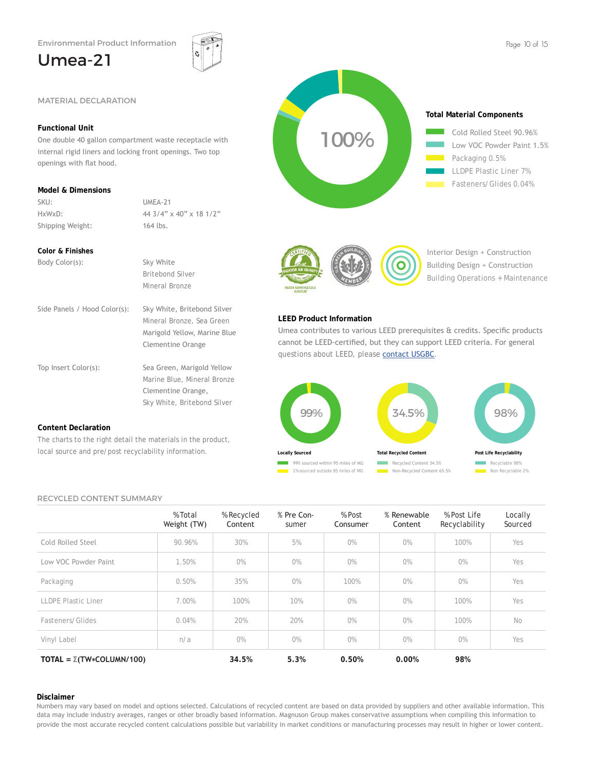One double 40 gallon compartment waste receptacle with internal rigid liners and locking front openings. Two top

HxWxD: 44 3/4" x 40" x 18 1/2"

Side Panels / Hood Color(s): Sky White, Britebond Silver

Top Insert Color(s): Sea Green, Marigold Yellow

The charts to the right detail the materials in the product, local source and pre/post recyclability information.

 Britebond Silver Mineral Bronze

 Mineral Bronze, Sea Green Marigold Yellow, Marine Blue Clementine Orange

 Marine Blue, Mineral Bronze Clementine Orange, Sky White, Britebond Silver

### Umea-21

**Functional Unit**

openings with flat hood.

**Model & Dimensions**

**Color & Finishes**

SKU: UMEA-21

Shipping Weight: 164 lbs.

Body Color(s): Sky White







Interior Design + Construction Building Design + Construction Building Operations + Maintenance

### **LEED Product Information**

Umea contributes to various LEED prerequisites & credits. Specific products cannot be LEED-certified, but they can support LEED criteria. For general questions about LEED, please contact USGBC.



### RECYCLED CONTENT SUMMARY

**Content Declaration**

|                                        | % Total<br>Weight (TW) | % Recycled<br>Content | % Pre Con-<br>sumer | % Post<br>Consumer | % Renewable<br>Content | % Post Life<br>Recyclability | Locally<br>Sourced |
|----------------------------------------|------------------------|-----------------------|---------------------|--------------------|------------------------|------------------------------|--------------------|
| Cold Rolled Steel                      | 90.96%                 | 30%                   | 5%                  | $0\%$              | $0\%$                  | 100%                         | Yes                |
| Low VOC Powder Paint                   | 1.50%                  | $0\%$                 | $0\%$               | $0\%$              | $0\%$                  | $0\%$                        | Yes                |
| Packaging                              | 0.50%                  | 35%                   | $0\%$               | 100%               | $0\%$                  | $0\%$                        | Yes                |
| <b>LLDPE Plastic Liner</b>             | 7.00%                  | 100%                  | 10%                 | O%                 | $0\%$                  | 100%                         | Yes                |
| Fasteners/Glides                       | 0.04%                  | 20%                   | 20%                 | $0\%$              | O%                     | 100%                         | No                 |
| Vinyl Label                            | n/a                    | O%                    | $0\%$               | O%                 | O%                     | $0\%$                        | Yes                |
| TOTAL = $\Sigma(TW \times COLUMN/100)$ |                        | 34.5%                 | 5.3%                | 0.50%              | 0.00%                  | 98%                          |                    |

### **Disclaimer**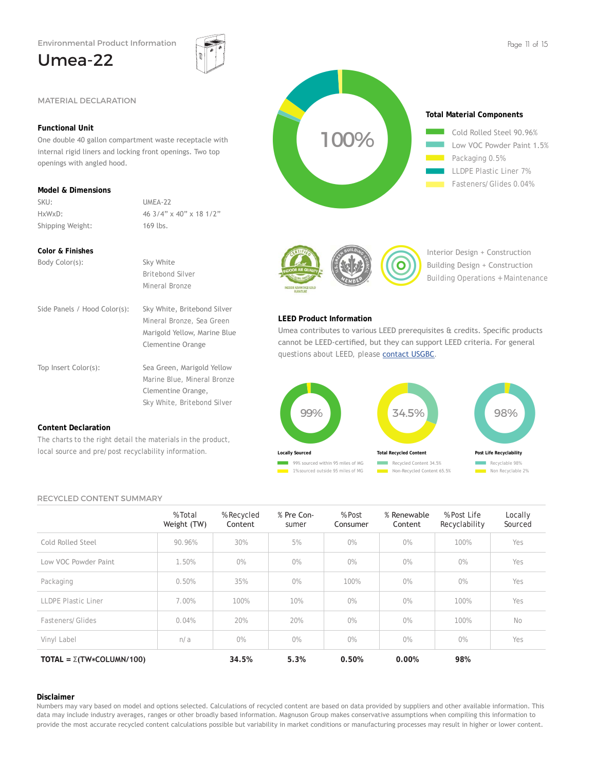One double 40 gallon compartment waste receptacle with internal rigid liners and locking front openings. Two top

HxWxD: 46 3/4" x 40" x 18 1/2"

Side Panels / Hood Color(s): Sky White, Britebond Silver

Top Insert Color(s): Sea Green, Marigold Yellow

The charts to the right detail the materials in the product, local source and pre/post recyclability information.

 Britebond Silver Mineral Bronze

 Mineral Bronze, Sea Green Marigold Yellow, Marine Blue Clementine Orange

 Marine Blue, Mineral Bronze Clementine Orange, Sky White, Britebond Silver

## Umea-22

**Functional Unit**

openings with angled hood.

SKU: UMEA-22

Shipping Weight: 169 lbs.

Body Color(s): Sky White

**Model & Dimensions**

**Color & Finishes**







Interior Design + Construction Building Design + Construction Building Operations + Maintenance

### **LEED Product Information**

Umea contributes to various LEED prerequisites & credits. Specific products cannot be LEED-certified, but they can support LEED criteria. For general questions about LEED, please contact USGBC.



### RECYCLED CONTENT SUMMARY

**Content Declaration**

|                                        | % Total<br>Weight (TW) | % Recycled<br>Content | % Pre Con-<br>sumer | % Post<br>Consumer | % Renewable<br>Content | % Post Life<br>Recyclability | Locally<br>Sourced |
|----------------------------------------|------------------------|-----------------------|---------------------|--------------------|------------------------|------------------------------|--------------------|
| Cold Rolled Steel                      | 90.96%                 | 30%                   | 5%                  | $0\%$              | $0\%$                  | 100%                         | Yes                |
| Low VOC Powder Paint                   | 1.50%                  | $0\%$                 | $0\%$               | $0\%$              | $0\%$                  | $0\%$                        | Yes                |
| Packaging                              | 0.50%                  | 35%                   | $0\%$               | 100%               | $0\%$                  | $0\%$                        | Yes                |
| <b>LLDPE Plastic Liner</b>             | 7.00%                  | 100%                  | 10%                 | O%                 | $0\%$                  | 100%                         | Yes                |
| Fasteners/Glides                       | 0.04%                  | 20%                   | 20%                 | $0\%$              | O%                     | 100%                         | No                 |
| Vinyl Label                            | n/a                    | O%                    | $0\%$               | O%                 | O%                     | $0\%$                        | Yes                |
| TOTAL = $\Sigma(TW \times COLUMN/100)$ |                        | 34.5%                 | 5.3%                | 0.50%              | 0.00%                  | 98%                          |                    |

### **Disclaimer**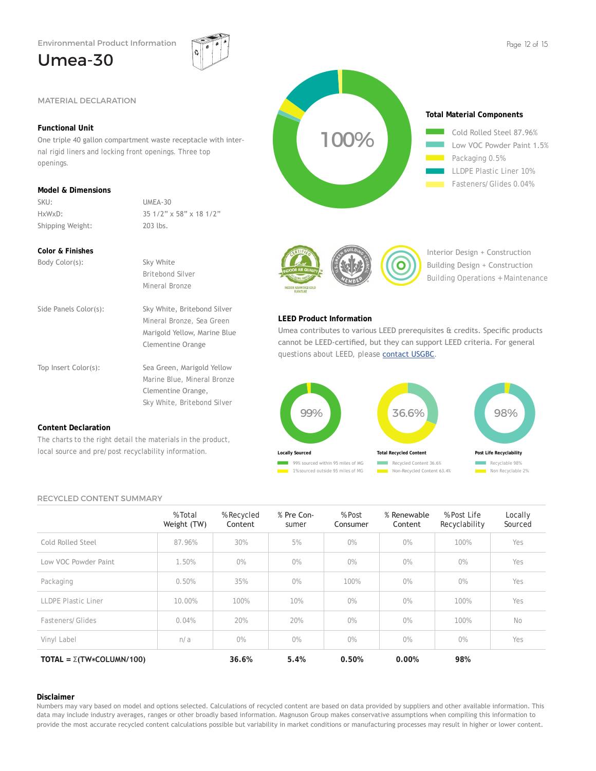### Umea-30







Interior Design + Construction Building Design + Construction Building Operations + Maintenance

### **LEED Product Information**

Umea contributes to various LEED prerequisites & credits. Specific products cannot be LEED-certified, but they can support LEED criteria. For general questions about LEED, please contact USGBC.



### RECYCLED CONTENT SUMMARY

|                                       | % Total<br>Weight (TW) | % Recycled<br>Content | % Pre Con-<br>sumer | % Post<br>Consumer | % Renewable<br>Content | % Post Life<br>Recyclability | Locally<br>Sourced |
|---------------------------------------|------------------------|-----------------------|---------------------|--------------------|------------------------|------------------------------|--------------------|
| Cold Rolled Steel                     | 87.96%                 | 30%                   | 5%                  | $0\%$              | 0%                     | 100%                         | Yes                |
| Low VOC Powder Paint                  | 1.50%                  | $0\%$                 | 0%                  | $0\%$              | 0%                     | $0\%$                        | Yes                |
| Packaging                             | 0.50%                  | 35%                   | $0\%$               | 100%               | $0\%$                  | $0\%$                        | Yes                |
| <b>LLDPE Plastic Liner</b>            | 10.00%                 | 100%                  | 10%                 | O%                 | O%                     | 100%                         | Yes                |
| Fasteners/Glides                      | 0.04%                  | 20%                   | 20%                 | O%                 | O%                     | 100%                         | No                 |
| Vinyl Label                           | n/a                    | $0\%$                 | $0\%$               | O%                 | O%                     | $0\%$                        | Yes                |
| TOTAL = $\Sigma(TW \star COLUMN/100)$ |                        | 36.6%                 | 5.4%                | 0.50%              | 0.00%                  | 98%                          |                    |

### **Disclaimer**

Numbers may vary based on model and options selected. Calculations of recycled content are based on data provided by suppliers and other available information. This data may include industry averages, ranges or other broadly based information. Magnuson Group makes conservative assumptions when compiling this information to provide the most accurate recycled content calculations possible but variability in market conditions or manufacturing processes may result in higher or lower content.

**Content Declaration**

### **Functional Unit**

One triple 40 gallon compartment waste receptacle with internal rigid liners and locking front openings. Three top openings.

### **Model & Dimensions**

SKU: UMEA-30 HxWxD: 35 1/2" x 58" x 18 1/2" Shipping Weight: 203 lbs.

### **Color & Finishes**

| Body Color(s):        | Sky White                                                                                                      |
|-----------------------|----------------------------------------------------------------------------------------------------------------|
|                       | Britebond Silver                                                                                               |
|                       | Mineral Bronze                                                                                                 |
| Side Panels Color(s): | Sky White, Britebond Silver<br>Mineral Bronze, Sea Green<br>Marigold Yellow, Marine Blue<br>Clementine Orange  |
| Top Insert Color(s):  | Sea Green, Marigold Yellow<br>Marine Blue, Mineral Bronze<br>Clementine Orange,<br>Sky White, Britebond Silver |

The charts to the right detail the materials in the product, local source and pre/post recyclability information.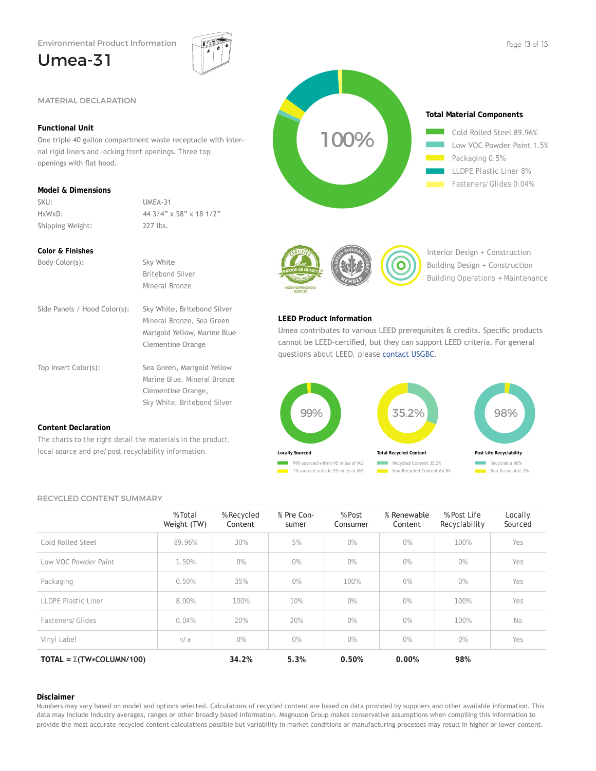nal rigid liners and locking front openings. Three top

HxWxD: 44 3/4" x 58" x 18 1/2"

Side Panels / Hood Color(s): Sky White, Britebond Silver

Top Insert Color(s): Sea Green, Marigold Yellow

The charts to the right detail the materials in the product, local source and pre/post recyclability information.

 Britebond Silver Mineral Bronze

 Mineral Bronze, Sea Green Marigold Yellow, Marine Blue Clementine Orange

 Marine Blue, Mineral Bronze Clementine Orange, Sky White, Britebond Silver

SKU: UMEA-31

Shipping Weight: 227 lbs.

Body Color(s): Sky White

## Umea-31

**Functional Unit**

openings with flat hood.

**Model & Dimensions**

**Color & Finishes**







Interior Design + Construction Building Design + Construction Building Operations + Maintenance

### **LEED Product Information**

Umea contributes to various LEED prerequisites & credits. Specific products cannot be LEED-certified, but they can support LEED criteria. For general questions about LEED, please contact USGBC.



RECYCLED CONTENT SUMMARY

**Content Declaration**

|                                       | % Total<br>Weight (TW) | % Recycled<br>Content | % Pre Con-<br>sumer | % Post<br>Consumer | % Renewable<br>Content | % Post Life<br>Recyclability | Locally<br>Sourced |
|---------------------------------------|------------------------|-----------------------|---------------------|--------------------|------------------------|------------------------------|--------------------|
| Cold Rolled Steel                     | 89.96%                 | 30%                   | 5%                  | $0\%$              | $0\%$                  | 100%                         | Yes                |
| Low VOC Powder Paint                  | 1.50%                  | $0\%$                 | 0%                  | $0\%$              | $0\%$                  | 0%                           | Yes                |
| Packaging                             | 0.50%                  | 35%                   | 0%                  | 100%               | $0\%$                  | 0%                           | Yes                |
| <b>LLDPE Plastic Liner</b>            | 8.00%                  | 100%                  | 10%                 | O%                 | $0\%$                  | 100%                         | Yes                |
| Fasteners/Glides                      | 0.04%                  | 20%                   | 20%                 | O%                 | O%                     | 100%                         | No                 |
| Vinyl Label                           | n/a                    | O%                    | O%                  | O%                 | $0\%$                  | $0\%$                        | Yes                |
| TOTAL = $\Sigma(TW \star COLUMN/100)$ |                        | 34.2%                 | 5.3%                | 0.50%              | 0.00%                  | 98%                          |                    |

### **Disclaimer**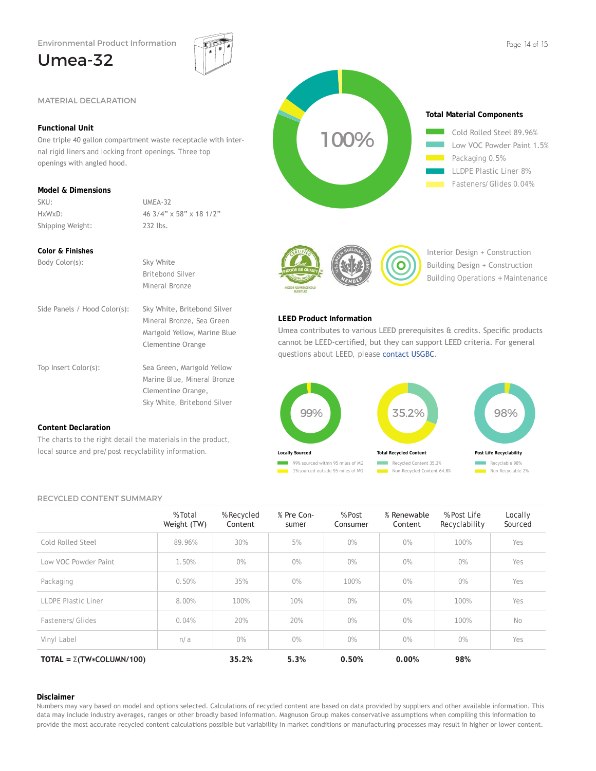nal rigid liners and locking front openings. Three top

HxWxD: 46 3/4" x 58" x 18 1/2"

Side Panels / Hood Color(s): Sky White, Britebond Silver

Top Insert Color(s): Sea Green, Marigold Yellow

The charts to the right detail the materials in the product, local source and pre/post recyclability information.

 Britebond Silver Mineral Bronze

 Mineral Bronze, Sea Green Marigold Yellow, Marine Blue Clementine Orange

 Marine Blue, Mineral Bronze Clementine Orange, Sky White, Britebond Silver

SKU: UMEA-32

Shipping Weight: 232 lbs.

Body Color(s): Sky White

### Umea-32

**Functional Unit**

openings with angled hood.

**Model & Dimensions**

**Color & Finishes**







Interior Design + Construction Building Design + Construction Building Operations + Maintenance

### **LEED Product Information**

Umea contributes to various LEED prerequisites & credits. Specific products cannot be LEED-certified, but they can support LEED criteria. For general questions about LEED, please contact USGBC.



### RECYCLED CONTENT SUMMARY

**Content Declaration**

|                                       | % Total<br>Weight (TW) | % Recycled<br>Content | % Pre Con-<br>sumer | % Post<br>Consumer | % Renewable<br>Content | % Post Life<br>Recyclability | Locally<br>Sourced |
|---------------------------------------|------------------------|-----------------------|---------------------|--------------------|------------------------|------------------------------|--------------------|
| Cold Rolled Steel                     | 89.96%                 | 30%                   | 5%                  | $0\%$              | $0\%$                  | 100%                         | Yes                |
| Low VOC Powder Paint                  | 1.50%                  | $0\%$                 | $0\%$               | $0\%$              | $0\%$                  | $0\%$                        | Yes                |
| Packaging                             | 0.50%                  | 35%                   | $0\%$               | 100%               | $0\%$                  | $0\%$                        | Yes                |
| LLDPE Plastic Liner                   | 8.00%                  | 100%                  | 10%                 | O%                 | O%                     | 100%                         | Yes                |
| Fasteners/Glides                      | 0.04%                  | 20%                   | 20%                 | $0\%$              | O%                     | 100%                         | No                 |
| Vinyl Label                           | n/a                    | O%                    | O%                  | $0\%$              | O%                     | O%                           | Yes                |
| TOTAL = $\Sigma(TW \star COLUMN/100)$ |                        | 35.2%                 | 5.3%                | 0.50%              | 0.00%                  | 98%                          |                    |

### **Disclaimer**